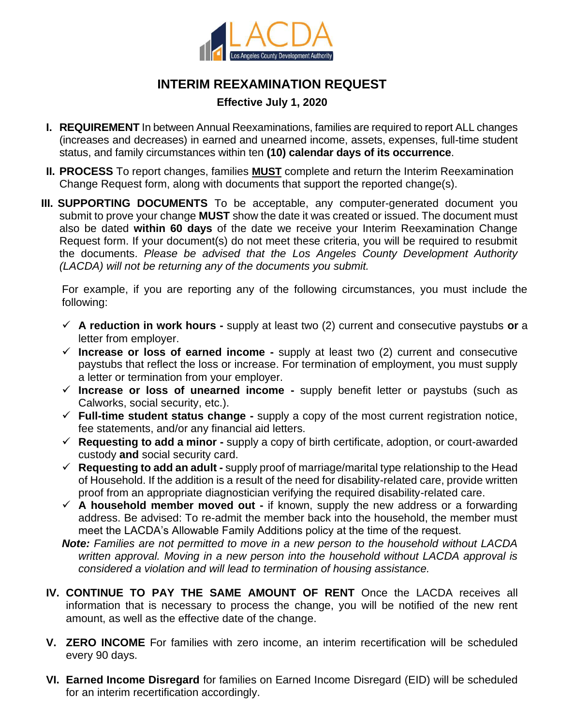

## **INTERIM REEXAMINATION REQUEST**

## **Effective July 1, 2020**

- **I. REQUIREMENT** In between Annual Reexaminations, families are required to report ALL changes (increases and decreases) in earned and unearned income, assets, expenses, full-time student status, and family circumstances within ten **(10) calendar days of its occurrence**.
- **II. PROCESS** To report changes, families **MUST** complete and return the Interim Reexamination Change Request form, along with documents that support the reported change(s).
- **III. SUPPORTING DOCUMENTS** To be acceptable, any computer-generated document you submit to prove your change **MUST** show the date it was created or issued. The document must also be dated **within 60 days** of the date we receive your Interim Reexamination Change Request form. If your document(s) do not meet these criteria, you will be required to resubmit the documents. *Please be advised that the Los Angeles County Development Authority (LACDA) will not be returning any of the documents you submit.*

For example, if you are reporting any of the following circumstances, you must include the following:

- ✓ **A reduction in work hours -** supply at least two (2) current and consecutive paystubs **or** a letter from employer.
- ✓ **Increase or loss of earned income -** supply at least two (2) current and consecutive paystubs that reflect the loss or increase. For termination of employment, you must supply a letter or termination from your employer.
- ✓ **Increase or loss of unearned income -** supply benefit letter or paystubs (such as Calworks, social security, etc.).
- ✓ **Full-time student status change -** supply a copy of the most current registration notice, fee statements, and/or any financial aid letters.
- ✓ **Requesting to add a minor -** supply a copy of birth certificate, adoption, or court-awarded custody **and** social security card.
- ✓ **Requesting to add an adult -** supply proof of marriage/marital type relationship to the Head of Household. If the addition is a result of the need for disability-related care, provide written proof from an appropriate diagnostician verifying the required disability-related care.
- ✓ **A household member moved out -** if known, supply the new address or a forwarding address. Be advised: To re-admit the member back into the household, the member must meet the LACDA's Allowable Family Additions policy at the time of the request.
- *Note: Families are not permitted to move in a new person to the household without LACDA written approval. Moving in a new person into the household without LACDA approval is considered a violation and will lead to termination of housing assistance.*
- **IV. CONTINUE TO PAY THE SAME AMOUNT OF RENT** Once the LACDA receives all information that is necessary to process the change, you will be notified of the new rent amount, as well as the effective date of the change.
- **V. ZERO INCOME** For families with zero income, an interim recertification will be scheduled every 90 days.
- **VI. Earned Income Disregard** for families on Earned Income Disregard (EID) will be scheduled for an interim recertification accordingly.